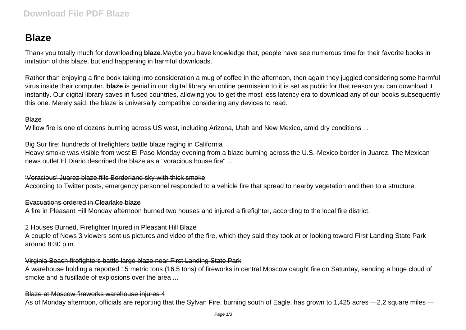# **Blaze**

Thank you totally much for downloading **blaze**.Maybe you have knowledge that, people have see numerous time for their favorite books in imitation of this blaze, but end happening in harmful downloads.

Rather than enjoying a fine book taking into consideration a mug of coffee in the afternoon, then again they juggled considering some harmful virus inside their computer. **blaze** is genial in our digital library an online permission to it is set as public for that reason you can download it instantly. Our digital library saves in fused countries, allowing you to get the most less latency era to download any of our books subsequently this one. Merely said, the blaze is universally compatible considering any devices to read.

#### **Blaze**

Willow fire is one of dozens burning across US west, including Arizona, Utah and New Mexico, amid dry conditions ...

#### Big Sur fire: hundreds of firefighters battle blaze raging in California

Heavy smoke was visible from west El Paso Monday evening from a blaze burning across the U.S.-Mexico border in Juarez. The Mexican news outlet El Diario described the blaze as a "voracious house fire" ...

#### 'Voracious' Juarez blaze fills Borderland sky with thick smoke

According to Twitter posts, emergency personnel responded to a vehicle fire that spread to nearby vegetation and then to a structure.

#### Evacuations ordered in Clearlake blaze

A fire in Pleasant Hill Monday afternoon burned two houses and injured a firefighter, according to the local fire district.

## 2 Houses Burned, Firefighter Injured in Pleasant Hill Blaze

A couple of News 3 viewers sent us pictures and video of the fire, which they said they took at or looking toward First Landing State Park around 8:30 p.m.

## Virginia Beach firefighters battle large blaze near First Landing State Park

A warehouse holding a reported 15 metric tons (16.5 tons) of fireworks in central Moscow caught fire on Saturday, sending a huge cloud of smoke and a fusillade of explosions over the area ...

## Blaze at Moscow fireworks warehouse injures 4

As of Monday afternoon, officials are reporting that the Sylvan Fire, burning south of Eagle, has grown to 1,425 acres -2.2 square miles -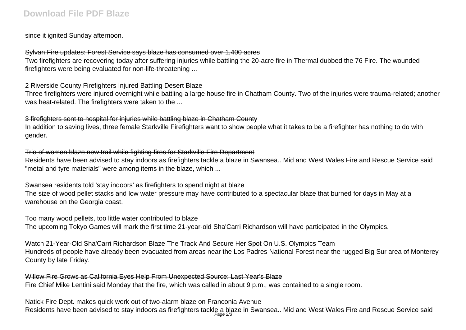since it ignited Sunday afternoon.

## Sylvan Fire updates: Forest Service says blaze has consumed over 1,400 acres

Two firefighters are recovering today after suffering injuries while battling the 20-acre fire in Thermal dubbed the 76 Fire. The wounded firefighters were being evaluated for non-life-threatening ...

# 2 Riverside County Firefighters Injured Battling Desert Blaze

Three firefighters were injured overnight while battling a large house fire in Chatham County. Two of the injuries were trauma-related; another was heat-related. The firefighters were taken to the ...

## 3 firefighters sent to hospital for injuries while battling blaze in Chatham County

In addition to saving lives, three female Starkville Firefighters want to show people what it takes to be a firefighter has nothing to do with gender.

# Trio of women blaze new trail while fighting fires for Starkville Fire Department

Residents have been advised to stay indoors as firefighters tackle a blaze in Swansea.. Mid and West Wales Fire and Rescue Service said "metal and tyre materials" were among items in the blaze, which ...

# Swansea residents told 'stay indoors' as firefighters to spend night at blaze

The size of wood pellet stacks and low water pressure may have contributed to a spectacular blaze that burned for days in May at a warehouse on the Georgia coast.

## Too many wood pellets, too little water contributed to blaze

The upcoming Tokyo Games will mark the first time 21-year-old Sha'Carri Richardson will have participated in the Olympics.

## Watch 21-Year-Old Sha'Carri Richardson Blaze The Track And Secure Her Spot On U.S. Olympics Team

Hundreds of people have already been evacuated from areas near the Los Padres National Forest near the rugged Big Sur area of Monterey County by late Friday.

# Willow Fire Grows as California Eves Help From Unexpected Source: Last Year's Blaze

Fire Chief Mike Lentini said Monday that the fire, which was called in about 9 p.m., was contained to a single room.

# Natick Fire Dept. makes quick work out of two-alarm blaze on Franconia Avenue

Residents have been advised to stay indoors as firefighters tackle a blaze in Swansea.. Mid and West Wales Fire and Rescue Service said